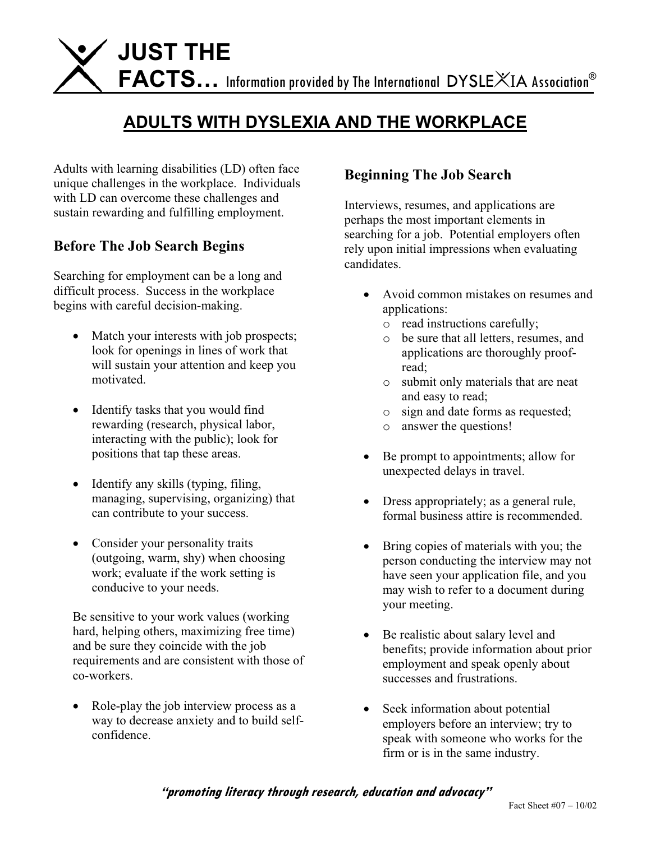

# **ADULTS WITH DYSLEXIA AND THE WORKPLACE**

Adults with learning disabilities (LD) often face unique challenges in the workplace. Individuals with LD can overcome these challenges and sustain rewarding and fulfilling employment.

### **Before The Job Search Begins**

Searching for employment can be a long and difficult process. Success in the workplace begins with careful decision-making.

- Match your interests with job prospects; look for openings in lines of work that will sustain your attention and keep you motivated.
- Identify tasks that you would find rewarding (research, physical labor, interacting with the public); look for positions that tap these areas.
- Identify any skills (typing, filing, managing, supervising, organizing) that can contribute to your success.
- Consider your personality traits (outgoing, warm, shy) when choosing work; evaluate if the work setting is conducive to your needs.

Be sensitive to your work values (working hard, helping others, maximizing free time) and be sure they coincide with the job requirements and are consistent with those of co-workers.

 $\bullet$  Role-play the job interview process as a way to decrease anxiety and to build selfconfidence.

## **Beginning The Job Search**

Interviews, resumes, and applications are perhaps the most important elements in searching for a job. Potential employers often rely upon initial impressions when evaluating candidates.

- Avoid common mistakes on resumes and applications:
	- o read instructions carefully;
	- o be sure that all letters, resumes, and applications are thoroughly proofread;
	- o submit only materials that are neat and easy to read;
	- o sign and date forms as requested;
	- o answer the questions!
- $\bullet$  Be prompt to appointments; allow for unexpected delays in travel.
- Dress appropriately; as a general rule, formal business attire is recommended.
- Bring copies of materials with you; the person conducting the interview may not have seen your application file, and you may wish to refer to a document during your meeting.
- Be realistic about salary level and benefits; provide information about prior employment and speak openly about successes and frustrations.
- Seek information about potential employers before an interview; try to speak with someone who works for the firm or is in the same industry.

**"promoting literacy through research, education and advocacy"**